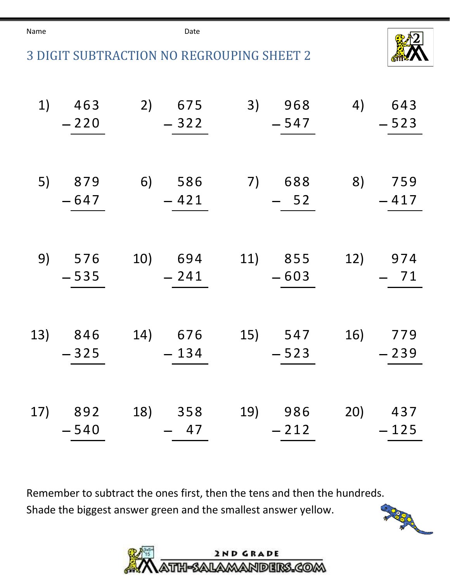Name **Date Date** 





| 1)  | 463<br>$-220$     | 2) 675<br>$-322$    | 3)<br>968<br>$-547$ | 4) 643<br>$-523$  |
|-----|-------------------|---------------------|---------------------|-------------------|
| 5)  | 879<br>$-647$     | 6) 586<br>$-421$    | 7)<br>688<br>$-52$  | 8) 759<br>$-417$  |
|     | 9) 576<br>$-535$  | 10) 694<br>$-241$   | 11) 855<br>$-603$   | 12) 974<br>$-71$  |
|     | 13) 846<br>$-325$ | 14) 676<br>$-134$   | 15) 547<br>$-523$   | 16) 779<br>$-239$ |
| 17) | 892<br>$-540$     | 18)<br>358<br>$-47$ | 19) 986<br>$-212$   | 20) 437<br>$-125$ |

Remember to subtract the ones first, then the tens and then the hundreds. Shade the biggest answer green and the smallest answer yellow.